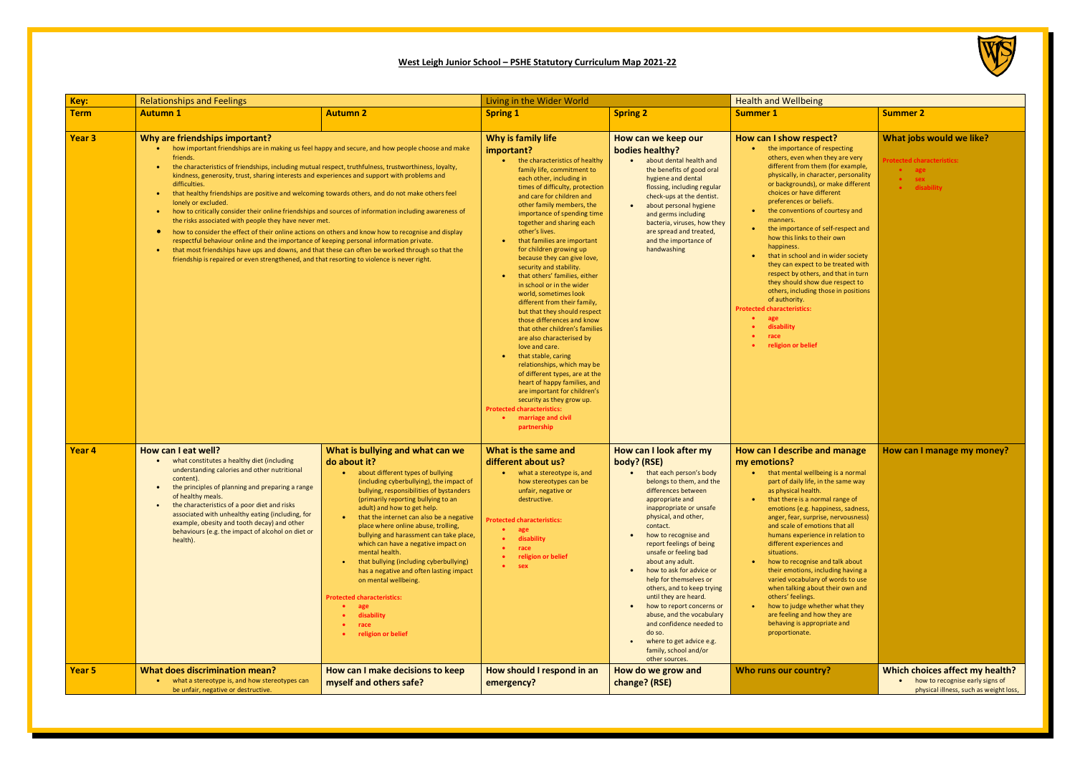## **West Leigh Junior School – PSHE Statutory Curriculum Map 2021-22**

| Key:              | <b>Relationships and Feelings</b>                                                                                                                                                                                                                                                                                                                                                                                                                                                                                                                                                                                                                                                                                                                                                                                                                                                                                                                                                                                                                                                                                                   |                                                                                                                                                                                                                                                                                                                                                                                                                                                                                                                                                                                                                                                               | Living in the Wider World                                                                                                                                                                                                                                                                                                                                                                                                                                                                                                                                                                                                                                                                                                                                                                                                                                                                                                                                                                 |                                                                                                                                                                                                                                                                                                                                                                                                                                                                                                                                                                                                                                    | <b>Health and Wellbeing</b>                                                                                                                                                                                                                                                                                                                                                                                                                                                                                                                                                                                                                                                                                      |                                                                                      |
|-------------------|-------------------------------------------------------------------------------------------------------------------------------------------------------------------------------------------------------------------------------------------------------------------------------------------------------------------------------------------------------------------------------------------------------------------------------------------------------------------------------------------------------------------------------------------------------------------------------------------------------------------------------------------------------------------------------------------------------------------------------------------------------------------------------------------------------------------------------------------------------------------------------------------------------------------------------------------------------------------------------------------------------------------------------------------------------------------------------------------------------------------------------------|---------------------------------------------------------------------------------------------------------------------------------------------------------------------------------------------------------------------------------------------------------------------------------------------------------------------------------------------------------------------------------------------------------------------------------------------------------------------------------------------------------------------------------------------------------------------------------------------------------------------------------------------------------------|-------------------------------------------------------------------------------------------------------------------------------------------------------------------------------------------------------------------------------------------------------------------------------------------------------------------------------------------------------------------------------------------------------------------------------------------------------------------------------------------------------------------------------------------------------------------------------------------------------------------------------------------------------------------------------------------------------------------------------------------------------------------------------------------------------------------------------------------------------------------------------------------------------------------------------------------------------------------------------------------|------------------------------------------------------------------------------------------------------------------------------------------------------------------------------------------------------------------------------------------------------------------------------------------------------------------------------------------------------------------------------------------------------------------------------------------------------------------------------------------------------------------------------------------------------------------------------------------------------------------------------------|------------------------------------------------------------------------------------------------------------------------------------------------------------------------------------------------------------------------------------------------------------------------------------------------------------------------------------------------------------------------------------------------------------------------------------------------------------------------------------------------------------------------------------------------------------------------------------------------------------------------------------------------------------------------------------------------------------------|--------------------------------------------------------------------------------------|
| <b>Term</b>       | <b>Autumn 1</b>                                                                                                                                                                                                                                                                                                                                                                                                                                                                                                                                                                                                                                                                                                                                                                                                                                                                                                                                                                                                                                                                                                                     | <b>Autumn 2</b>                                                                                                                                                                                                                                                                                                                                                                                                                                                                                                                                                                                                                                               | <b>Spring 1</b>                                                                                                                                                                                                                                                                                                                                                                                                                                                                                                                                                                                                                                                                                                                                                                                                                                                                                                                                                                           | <b>Spring 2</b>                                                                                                                                                                                                                                                                                                                                                                                                                                                                                                                                                                                                                    | <b>Summer 1</b>                                                                                                                                                                                                                                                                                                                                                                                                                                                                                                                                                                                                                                                                                                  | <b>Summer 2</b>                                                                      |
| Year <sub>3</sub> | Why are friendships important?<br>how important friendships are in making us feel happy and secure, and how people choose and make<br>friends.<br>the characteristics of friendships, including mutual respect, truthfulness, trustworthiness, loyalty,<br>$\bullet$<br>kindness, generosity, trust, sharing interests and experiences and support with problems and<br>difficulties.<br>that healthy friendships are positive and welcoming towards others, and do not make others feel<br>٠<br>lonely or excluded.<br>how to critically consider their online friendships and sources of information including awareness of<br>$\bullet$ .<br>the risks associated with people they have never met.<br>how to consider the effect of their online actions on others and know how to recognise and display<br>$\bullet$<br>respectful behaviour online and the importance of keeping personal information private.<br>that most friendships have ups and downs, and that these can often be worked through so that the<br>$\bullet$<br>friendship is repaired or even strengthened, and that resorting to violence is never right. |                                                                                                                                                                                                                                                                                                                                                                                                                                                                                                                                                                                                                                                               | Why is family life<br>important?<br>the characteristics of healthy<br>family life, commitment to<br>each other, including in<br>times of difficulty, protection<br>and care for children and<br>other family members, the<br>importance of spending time<br>together and sharing each<br>other's lives.<br>that families are important<br>٠<br>for children growing up<br>because they can give love,<br>security and stability.<br>that others' families, either<br>$\bullet$<br>in school or in the wider<br>world, sometimes look<br>different from their family,<br>but that they should respect<br>those differences and know<br>that other children's families<br>are also characterised by<br>love and care.<br>that stable, caring<br>٠<br>relationships, which may be<br>of different types, are at the<br>heart of happy families, and<br>are important for children's<br>security as they grow up.<br><b>Protected characteristics:</b><br>• marriage and civil<br>partnership | How can we keep our<br>bodies healthy?<br>about dental health and<br>$\bullet$<br>the benefits of good oral<br>hygiene and dental<br>flossing, including regular<br>check-ups at the dentist.<br>about personal hygiene<br>$\bullet$<br>and germs including<br>bacteria, viruses, how they<br>are spread and treated,<br>and the importance of<br>handwashing                                                                                                                                                                                                                                                                      | How can I show respect?<br>the importance of respecting<br>others, even when they are very<br>different from them (for example,<br>physically, in character, personality<br>or backgrounds), or make different<br>choices or have different<br>preferences or beliefs.<br>the conventions of courtesy and<br>manners.<br>the importance of self-respect and<br>how this links to their own<br>happiness.<br>that in school and in wider society<br>they can expect to be treated with<br>respect by others, and that in turn<br>they should show due respect to<br>others, including those in positions<br>of authority.<br><b>Protected characteristics:</b><br>age<br>disability<br>race<br>religion or belief | <b>What jobs</b><br>Protected cha<br>$\bullet$ ago<br>$\bullet$ sex<br>$\bullet$ dis |
| Year 4            | How can I eat well?<br>what constitutes a healthy diet (including<br>$\bullet$<br>understanding calories and other nutritional<br>content).<br>the principles of planning and preparing a range<br>$\bullet$<br>of healthy meals.<br>the characteristics of a poor diet and risks<br>associated with unhealthy eating (including, for<br>example, obesity and tooth decay) and other<br>behaviours (e.g. the impact of alcohol on diet or<br>health).                                                                                                                                                                                                                                                                                                                                                                                                                                                                                                                                                                                                                                                                               | What is bullying and what can we<br>do about it?<br>about different types of bullying<br>(including cyberbullying), the impact of<br>bullying, responsibilities of bystanders<br>(primarily reporting bullying to an<br>adult) and how to get help.<br>that the internet can also be a negative<br>$\bullet$<br>place where online abuse, trolling,<br>bullying and harassment can take place,<br>which can have a negative impact on<br>mental health.<br>that bullying (including cyberbullying)<br>has a negative and often lasting impact<br>on mental wellbeing.<br><b>Protected characteristics:</b><br>age<br>disability<br>race<br>religion or belief | What is the same and<br>different about us?<br>what a stereotype is, and<br>how stereotypes can be<br>unfair, negative or<br>destructive.<br><b>Protected characteristics:</b><br>age<br>disability<br>race<br>religion or belief<br>sex                                                                                                                                                                                                                                                                                                                                                                                                                                                                                                                                                                                                                                                                                                                                                  | How can I look after my<br>body? (RSE)<br>that each person's body<br>belongs to them, and the<br>differences between<br>appropriate and<br>inappropriate or unsafe<br>physical, and other,<br>contact.<br>how to recognise and<br>report feelings of being<br>unsafe or feeling bad<br>about any adult.<br>how to ask for advice or<br>$\bullet$<br>help for themselves or<br>others, and to keep trying<br>until they are heard.<br>how to report concerns or<br>$\bullet$<br>abuse, and the vocabulary<br>and confidence needed to<br>do so.<br>where to get advice e.g.<br>$\bullet$<br>family, school and/or<br>other sources. | How can I describe and manage<br>my emotions?<br>that mental wellbeing is a normal<br>part of daily life, in the same way<br>as physical health.<br>that there is a normal range of<br>emotions (e.g. happiness, sadness,<br>anger, fear, surprise, nervousness)<br>and scale of emotions that all<br>humans experience in relation to<br>different experiences and<br>situations.<br>how to recognise and talk about<br>their emotions, including having a<br>varied vocabulary of words to use<br>when talking about their own and<br>others' feelings.<br>how to judge whether what they<br>are feeling and how they are<br>behaving is appropriate and<br>proportionate.                                     | <b>How can I</b>                                                                     |
| Year 5            | What does discrimination mean?<br>what a stereotype is, and how stereotypes can<br>$\bullet$<br>be unfair, negative or destructive.                                                                                                                                                                                                                                                                                                                                                                                                                                                                                                                                                                                                                                                                                                                                                                                                                                                                                                                                                                                                 | How can I make decisions to keep<br>myself and others safe?                                                                                                                                                                                                                                                                                                                                                                                                                                                                                                                                                                                                   | How should I respond in an<br>emergency?                                                                                                                                                                                                                                                                                                                                                                                                                                                                                                                                                                                                                                                                                                                                                                                                                                                                                                                                                  | How do we grow and<br>change? (RSE)                                                                                                                                                                                                                                                                                                                                                                                                                                                                                                                                                                                                | Who runs our country?                                                                                                                                                                                                                                                                                                                                                                                                                                                                                                                                                                                                                                                                                            | <b>Which cho</b><br>$\bullet$ how<br>ph                                              |



| <b>Health and Wellbeing</b>                                                                                                                                                                                                                                                                                                                                                                                                                                                                                                                                                                                                                                                                                      |                                                                                                              |  |  |  |
|------------------------------------------------------------------------------------------------------------------------------------------------------------------------------------------------------------------------------------------------------------------------------------------------------------------------------------------------------------------------------------------------------------------------------------------------------------------------------------------------------------------------------------------------------------------------------------------------------------------------------------------------------------------------------------------------------------------|--------------------------------------------------------------------------------------------------------------|--|--|--|
| <b>Summer 1</b>                                                                                                                                                                                                                                                                                                                                                                                                                                                                                                                                                                                                                                                                                                  | <b>Summer 2</b>                                                                                              |  |  |  |
| How can I show respect?<br>the importance of respecting<br>others, even when they are very<br>different from them (for example,<br>physically, in character, personality<br>or backgrounds), or make different<br>choices or have different<br>preferences or beliefs.<br>the conventions of courtesy and<br>manners.<br>the importance of self-respect and<br>how this links to their own<br>happiness.<br>that in school and in wider society<br>they can expect to be treated with<br>respect by others, and that in turn<br>they should show due respect to<br>others, including those in positions<br>of authority.<br><b>Protected characteristics:</b><br>age<br>disability<br>race<br>religion or belief | What jobs would we like?<br><b>Protected characteristics:</b><br>age<br>sex<br>disability                    |  |  |  |
| How can I describe and manage<br>my emotions?<br>that mental wellbeing is a normal<br>part of daily life, in the same way<br>as physical health.<br>that there is a normal range of<br>emotions (e.g. happiness, sadness,<br>anger, fear, surprise, nervousness)<br>and scale of emotions that all<br>humans experience in relation to<br>different experiences and<br>situations.<br>how to recognise and talk about<br>their emotions, including having a<br>varied vocabulary of words to use<br>when talking about their own and<br>others' feelings.<br>how to judge whether what they<br>are feeling and how they are<br>behaving is appropriate and<br>proportionate.                                     | How can I manage my money?                                                                                   |  |  |  |
| Who runs our country?                                                                                                                                                                                                                                                                                                                                                                                                                                                                                                                                                                                                                                                                                            | Which choices affect my health?<br>how to recognise early signs of<br>physical illness, such as weight loss, |  |  |  |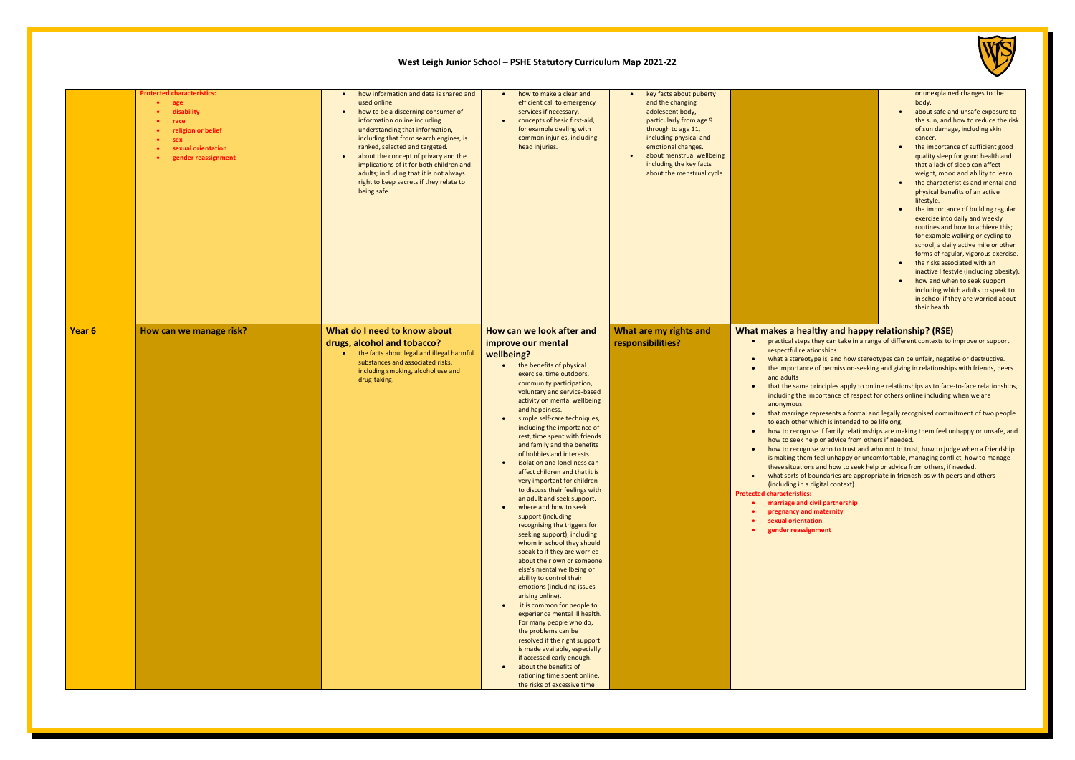### **West Leigh Junior School – PSHE Statutory Curriculum Map 2021-22**

| or unexplained changes to the<br>body.<br>about safe and unsafe exposure to<br>the sun, and how to reduce the risk<br>of sun damage, including skin<br>cancer.<br>the importance of sufficient good<br>quality sleep for good health and<br>that a lack of sleep can affect<br>weight, mood and ability to learn.<br>the characteristics and mental and<br>physical benefits of an active<br>lifestyle.<br>the importance of building regular<br>exercise into daily and weekly<br>routines and how to achieve this:<br>for example walking or cycling to<br>school, a daily active mile or other<br>forms of regular, vigorous exercise.<br>the risks associated with an<br>inactive lifestyle (including obesity). |
|----------------------------------------------------------------------------------------------------------------------------------------------------------------------------------------------------------------------------------------------------------------------------------------------------------------------------------------------------------------------------------------------------------------------------------------------------------------------------------------------------------------------------------------------------------------------------------------------------------------------------------------------------------------------------------------------------------------------|
| how and when to seek support<br>including which adults to speak to<br>in school if they are worried about<br>their health.                                                                                                                                                                                                                                                                                                                                                                                                                                                                                                                                                                                           |

### **Khath Makes is a health math makes in the Mayn Strutus**

hey can take in a range of different contexts to improve or support respectively<br>tionships.

 $\nu$ pe is, and how stereotypes can be unfair, negative or destructive. e of permission-seeking and giving in relationships with friends, peers

rinciples apply to online relationships as to face-to-face relationships, mportance of respect for others online including when we are

epresents a formal and legally recognised commitment of two people hich is intended to be lifelong.

se if family relationships are making them feel unhappy or unsafe, and lp or advice from others if needed.

ise who to trust and who not to trust, how to judge when a friendship feel unhappy or uncomfortable, managing conflict, how to manage s and how to seek help or advice from others, if needed. oundaries are appropriate in friendships with peers and others

digital context).

**ivil partnership** maternity **ion iment** 

| <b>Protected characteristics:</b><br>age<br>disability<br>race<br>religion or belief<br>sex<br>sexual orientation<br>gender reassignment | how information and data is shared and<br>$\bullet$<br>used online.<br>how to be a discerning consumer of<br>$\bullet$<br>information online including<br>understanding that information,<br>including that from search engines, is<br>ranked, selected and targeted.<br>about the concept of privacy and the<br>$\bullet$<br>implications of it for both children and<br>adults; including that it is not always<br>right to keep secrets if they relate to<br>being safe. | how to make a clear and<br>efficient call to emergency<br>services if necessary.<br>concepts of basic first-aid,<br>for example dealing with<br>common injuries, including<br>head injuries.                                                                                                                                                                                                                                                                                                                                                                                                                                                                                                                                                                                                                                                                                                                                                                                                                                                                                                                                                                                                  | key facts about puberty<br>$\bullet$<br>and the changing<br>adolescent body,<br>particularly from age 9<br>through to age 11,<br>including physical and<br>emotional changes.<br>about menstrual wellbeing<br>including the key facts<br>about the menstrual cycle. |                                                                                                                                                                                                                                                                                                                                                                                                                                                                                                 |
|------------------------------------------------------------------------------------------------------------------------------------------|-----------------------------------------------------------------------------------------------------------------------------------------------------------------------------------------------------------------------------------------------------------------------------------------------------------------------------------------------------------------------------------------------------------------------------------------------------------------------------|-----------------------------------------------------------------------------------------------------------------------------------------------------------------------------------------------------------------------------------------------------------------------------------------------------------------------------------------------------------------------------------------------------------------------------------------------------------------------------------------------------------------------------------------------------------------------------------------------------------------------------------------------------------------------------------------------------------------------------------------------------------------------------------------------------------------------------------------------------------------------------------------------------------------------------------------------------------------------------------------------------------------------------------------------------------------------------------------------------------------------------------------------------------------------------------------------|---------------------------------------------------------------------------------------------------------------------------------------------------------------------------------------------------------------------------------------------------------------------|-------------------------------------------------------------------------------------------------------------------------------------------------------------------------------------------------------------------------------------------------------------------------------------------------------------------------------------------------------------------------------------------------------------------------------------------------------------------------------------------------|
| How can we manage risk?<br>Year <sub>6</sub>                                                                                             | What do I need to know about<br>drugs, alcohol and tobacco?<br>the facts about legal and illegal harmful<br>$\bullet$<br>substances and associated risks,<br>including smoking, alcohol use and<br>drug-taking.                                                                                                                                                                                                                                                             | How can we look after and<br>improve our mental<br>wellbeing?<br>the benefits of physical<br>exercise, time outdoors,<br>community participation,<br>voluntary and service-based<br>activity on mental wellbeing<br>and happiness.<br>simple self-care techniques,<br>including the importance of<br>rest, time spent with friends<br>and family and the benefits<br>of hobbies and interests.<br>isolation and loneliness can<br>affect children and that it is<br>very important for children<br>to discuss their feelings with<br>an adult and seek support.<br>where and how to seek<br>support (including<br>recognising the triggers for<br>seeking support), including<br>whom in school they should<br>speak to if they are worried<br>about their own or someone<br>else's mental wellbeing or<br>ability to control their<br>emotions (including issues<br>arising online).<br>it is common for people to<br>experience mental ill health.<br>For many people who do,<br>the problems can be<br>resolved if the right support<br>is made available, especially<br>if accessed early enough.<br>about the benefits of<br>rationing time spent online,<br>the risks of excessive time | What are my rights and<br>responsibilities?                                                                                                                                                                                                                         | What makes a heal<br>practical steps t<br>$\bullet$<br>respectful relati<br>what a stereoty<br>the importance<br>and adults<br>that the same p<br>including the im<br>anonymous.<br>that marriage re<br>to each other w<br>how to recognis<br>$\bullet$<br>how to seek help<br>how to recognis<br>is making them<br>these situations<br>what sorts of bo<br>(including in a di<br><b>Protected characteristics:</b><br>marriage and cit<br>pregnancy and<br>sexual orientati<br>gender reassign |